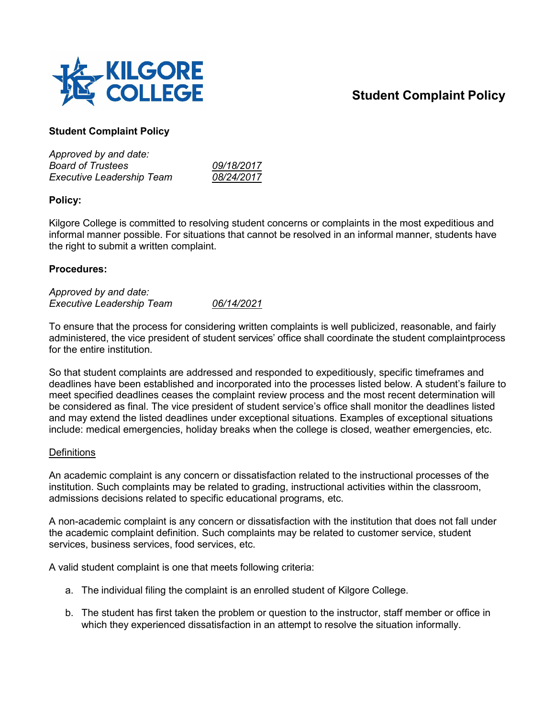

# **Student Complaint Policy**

# **Student Complaint Policy**

| Approved by and date:            |            |
|----------------------------------|------------|
| <b>Board of Trustees</b>         | 09/18/2017 |
| <b>Executive Leadership Team</b> | 08/24/2017 |

# **Policy:**

Kilgore College is committed to resolving student concerns or complaints in the most expeditious and informal manner possible. For situations that cannot be resolved in an informal manner, students have the right to submit a written complaint.

## **Procedures:**

*Approved by and date: Executive Leadership Team 06/14/2021*

To ensure that the process for considering written complaints is well publicized, reasonable, and fairly administered, the vice president of student services' office shall coordinate the student complaintprocess for the entire institution.

So that student complaints are addressed and responded to expeditiously, specific timeframes and deadlines have been established and incorporated into the processes listed below. A student's failure to meet specified deadlines ceases the complaint review process and the most recent determination will be considered as final. The vice president of student service's office shall monitor the deadlines listed and may extend the listed deadlines under exceptional situations. Examples of exceptional situations include: medical emergencies, holiday breaks when the college is closed, weather emergencies, etc.

#### **Definitions**

An academic complaint is any concern or dissatisfaction related to the instructional processes of the institution. Such complaints may be related to grading, instructional activities within the classroom, admissions decisions related to specific educational programs, etc.

A non-academic complaint is any concern or dissatisfaction with the institution that does not fall under the academic complaint definition. Such complaints may be related to customer service, student services, business services, food services, etc.

A valid student complaint is one that meets following criteria:

- a. The individual filing the complaint is an enrolled student of Kilgore College.
- b. The student has first taken the problem or question to the instructor, staff member or office in which they experienced dissatisfaction in an attempt to resolve the situation informally.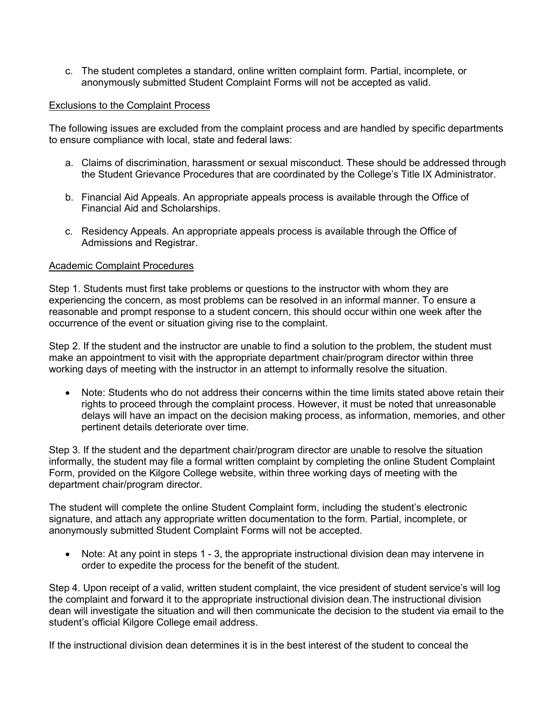c. The student completes a standard, online written complaint form. Partial, incomplete, or anonymously submitted Student Complaint Forms will not be accepted as valid.

#### Exclusions to the Complaint Process

The following issues are excluded from the complaint process and are handled by specific departments to ensure compliance with local, state and federal laws:

- a. Claims of discrimination, harassment or sexual misconduct. These should be addressed through the Student Grievance Procedures that are coordinated by the College's Title IX Administrator.
- b. Financial Aid Appeals. An appropriate appeals process is available through the Office of Financial Aid and Scholarships.
- c. Residency Appeals. An appropriate appeals process is available through the Office of Admissions and Registrar.

#### Academic Complaint Procedures

Step 1. Students must first take problems or questions to the instructor with whom they are experiencing the concern, as most problems can be resolved in an informal manner. To ensure a reasonable and prompt response to a student concern, this should occur within one week after the occurrence of the event or situation giving rise to the complaint.

Step 2. If the student and the instructor are unable to find a solution to the problem, the student must make an appointment to visit with the appropriate department chair/program director within three working days of meeting with the instructor in an attempt to informally resolve the situation.

• Note: Students who do not address their concerns within the time limits stated above retain their rights to proceed through the complaint process. However, it must be noted that unreasonable delays will have an impact on the decision making process, as information, memories, and other pertinent details deteriorate over time.

Step 3. If the student and the department chair/program director are unable to resolve the situation informally, the student may file a formal written complaint by completing the online Student Complaint Form, provided on the Kilgore College website, within three working days of meeting with the department chair/program director.

The student will complete the online Student Complaint form, including the student's electronic signature, and attach any appropriate written documentation to the form. Partial, incomplete, or anonymously submitted Student Complaint Forms will not be accepted.

• Note: At any point in steps 1 - 3, the appropriate instructional division dean may intervene in order to expedite the process for the benefit of the student.

Step 4. Upon receipt of a valid, written student complaint, the vice president of student service's will log the complaint and forward it to the appropriate instructional division dean.The instructional division dean will investigate the situation and will then communicate the decision to the student via email to the student's official Kilgore College email address.

If the instructional division dean determines it is in the best interest of the student to conceal the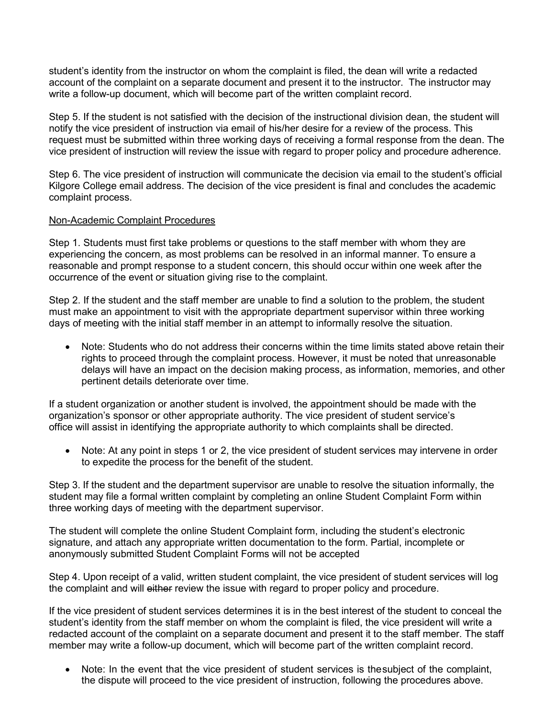student's identity from the instructor on whom the complaint is filed, the dean will write a redacted account of the complaint on a separate document and present it to the instructor. The instructor may write a follow-up document, which will become part of the written complaint record.

Step 5. If the student is not satisfied with the decision of the instructional division dean, the student will notify the vice president of instruction via email of his/her desire for a review of the process. This request must be submitted within three working days of receiving a formal response from the dean. The vice president of instruction will review the issue with regard to proper policy and procedure adherence.

Step 6. The vice president of instruction will communicate the decision via email to the student's official Kilgore College email address. The decision of the vice president is final and concludes the academic complaint process.

# Non-Academic Complaint Procedures

Step 1. Students must first take problems or questions to the staff member with whom they are experiencing the concern, as most problems can be resolved in an informal manner. To ensure a reasonable and prompt response to a student concern, this should occur within one week after the occurrence of the event or situation giving rise to the complaint.

Step 2. If the student and the staff member are unable to find a solution to the problem, the student must make an appointment to visit with the appropriate department supervisor within three working days of meeting with the initial staff member in an attempt to informally resolve the situation.

• Note: Students who do not address their concerns within the time limits stated above retain their rights to proceed through the complaint process. However, it must be noted that unreasonable delays will have an impact on the decision making process, as information, memories, and other pertinent details deteriorate over time.

If a student organization or another student is involved, the appointment should be made with the organization's sponsor or other appropriate authority. The vice president of student service's office will assist in identifying the appropriate authority to which complaints shall be directed.

• Note: At any point in steps 1 or 2, the vice president of student services may intervene in order to expedite the process for the benefit of the student.

Step 3. If the student and the department supervisor are unable to resolve the situation informally, the student may file a formal written complaint by completing an online Student Complaint Form within three working days of meeting with the department supervisor.

The student will complete the online Student Complaint form, including the student's electronic signature, and attach any appropriate written documentation to the form. Partial, incomplete or anonymously submitted Student Complaint Forms will not be accepted

Step 4. Upon receipt of a valid, written student complaint, the vice president of student services will log the complaint and will either review the issue with regard to proper policy and procedure.

If the vice president of student services determines it is in the best interest of the student to conceal the student's identity from the staff member on whom the complaint is filed, the vice president will write a redacted account of the complaint on a separate document and present it to the staff member. The staff member may write a follow-up document, which will become part of the written complaint record.

• Note: In the event that the vice president of student services is thesubject of the complaint, the dispute will proceed to the vice president of instruction, following the procedures above.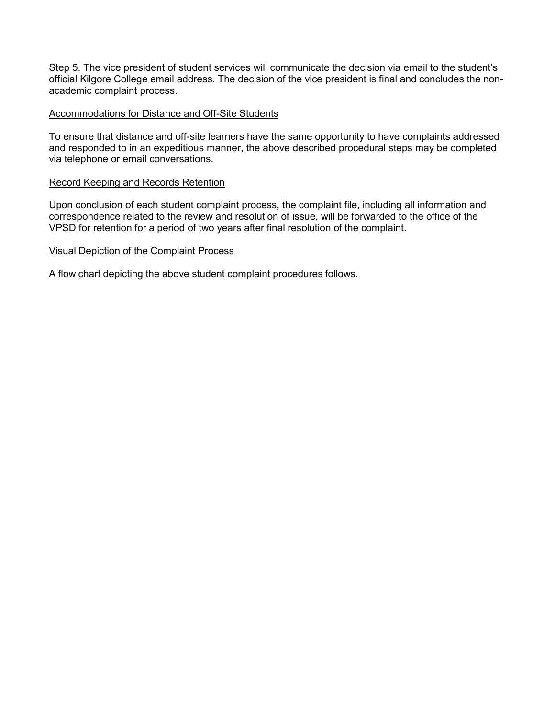Step 5. The vice president of student services will communicate the decision via email to the student's official Kilgore College email address. The decision of the vice president is final and concludes the nonacademic complaint process.

## Accommodations for Distance and Off-Site Students

To ensure that distance and off-site learners have the same opportunity to have complaints addressed and responded to in an expeditious manner, the above described procedural steps may be completed via telephone or email conversations.

#### Record Keeping and Records Retention

Upon conclusion of each student complaint process, the complaint file, including all information and correspondence related to the review and resolution of issue, will be forwarded to the office of the VPSD for retention for a period of two years after final resolution of the complaint.

## Visual Depiction of the Complaint Process

A flow chart depicting the above student complaint procedures follows.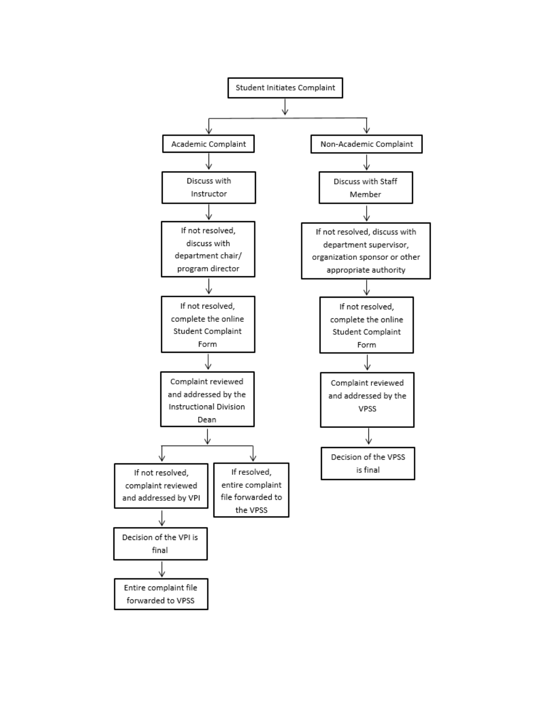